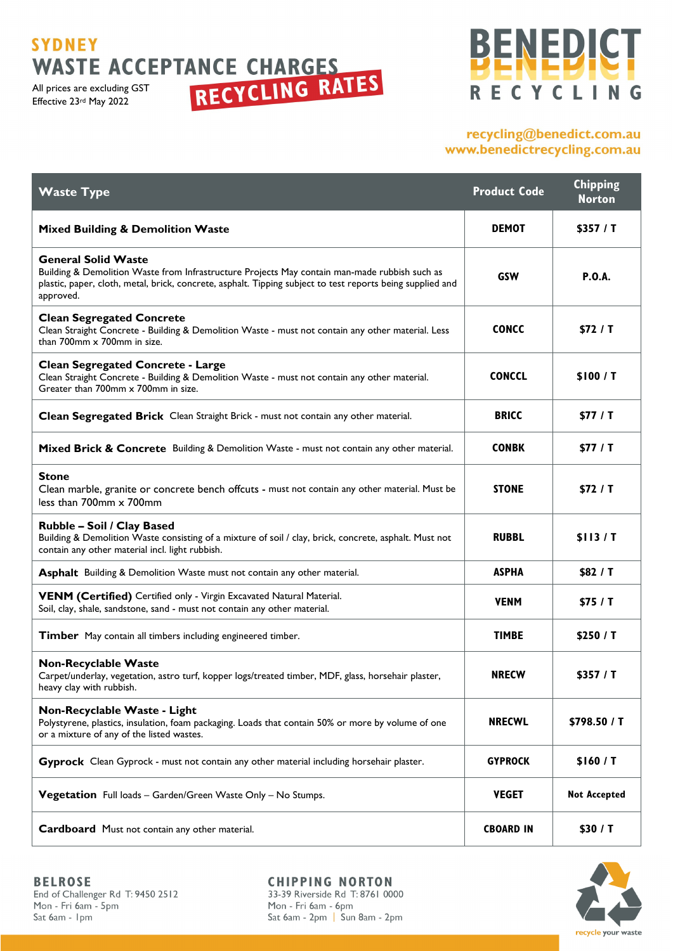# **SYDNEY**

All prices are excluding GST Effective 23rd May 2022

# BENEDICT RECYCLING

### recycling@benedict.com.au www.benedictrecycling.com.au

| <b>Waste Type</b>                                                                                                                                                                                                                                      | <b>Product Code</b> | <b>Chipping</b><br><b>Norton</b> |
|--------------------------------------------------------------------------------------------------------------------------------------------------------------------------------------------------------------------------------------------------------|---------------------|----------------------------------|
| <b>Mixed Building &amp; Demolition Waste</b>                                                                                                                                                                                                           | <b>DEMOT</b>        | \$357 / T                        |
| <b>General Solid Waste</b><br>Building & Demolition Waste from Infrastructure Projects May contain man-made rubbish such as<br>plastic, paper, cloth, metal, brick, concrete, asphalt. Tipping subject to test reports being supplied and<br>approved. | <b>GSW</b>          | <b>P.O.A.</b>                    |
| <b>Clean Segregated Concrete</b><br>Clean Straight Concrete - Building & Demolition Waste - must not contain any other material. Less<br>than $700$ mm $\times$ $700$ mm in size.                                                                      | <b>CONCC</b>        | \$72 / T                         |
| <b>Clean Segregated Concrete - Large</b><br>Clean Straight Concrete - Building & Demolition Waste - must not contain any other material.<br>Greater than 700mm x 700mm in size.                                                                        | <b>CONCCL</b>       | \$100/ T                         |
| Clean Segregated Brick Clean Straight Brick - must not contain any other material.                                                                                                                                                                     | <b>BRICC</b>        | \$77 / T                         |
| Mixed Brick & Concrete Building & Demolition Waste - must not contain any other material.                                                                                                                                                              | <b>CONBK</b>        | \$77 / T                         |
| Stone<br>Clean marble, granite or concrete bench offcuts - must not contain any other material. Must be<br>less than 700mm x 700mm                                                                                                                     | <b>STONE</b>        | \$72/ T                          |
| Rubble – Soil / Clay Based<br>Building & Demolition Waste consisting of a mixture of soil / clay, brick, concrete, asphalt. Must not<br>contain any other material incl. light rubbish.                                                                | <b>RUBBL</b>        | \$113/7                          |
| Asphalt Building & Demolition Waste must not contain any other material.                                                                                                                                                                               | <b>ASPHA</b>        | \$82 / T                         |
| VENM (Certified) Certified only - Virgin Excavated Natural Material.<br>Soil, clay, shale, sandstone, sand - must not contain any other material.                                                                                                      | <b>VENM</b>         | \$75 / T                         |
| Timber May contain all timbers including engineered timber.                                                                                                                                                                                            | <b>TIMBE</b>        | \$250 / T                        |
| <b>Non-Recyclable Waste</b><br>Carpet/underlay, vegetation, astro turf, kopper logs/treated timber, MDF, glass, horsehair plaster,<br>heavy clay with rubbish.                                                                                         | <b>NRECW</b>        | \$357 / T                        |
| Non-Recyclable Waste - Light<br>Polystyrene, plastics, insulation, foam packaging. Loads that contain 50% or more by volume of one<br>or a mixture of any of the listed wastes.                                                                        | <b>NRECWL</b>       | \$798.50 / T                     |
| Gyprock Clean Gyprock - must not contain any other material including horsehair plaster.                                                                                                                                                               | <b>GYPROCK</b>      | \$160/ T                         |
| <b>Vegetation</b> Full loads – Garden/Green Waste Only – No Stumps.                                                                                                                                                                                    | <b>VEGET</b>        | <b>Not Accepted</b>              |
| Cardboard Must not contain any other material.                                                                                                                                                                                                         | <b>CBOARD IN</b>    | \$30 / T                         |



End of Challenger Rd T: 9450 2512<br>Mon - Fri 6am - 5pm Sat 6am - 1pm

**CHIPPING NORTON** 33-39 Riverside Rd T: 8761 0000 Mon - Fri 6am - 6pm Sat 6am - 2pm | Sun 8am - 2pm